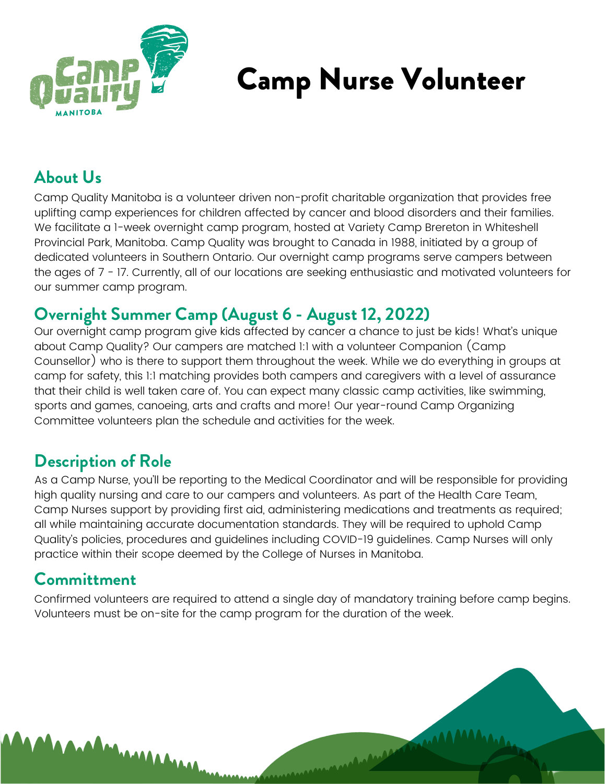

# Camp Nurse Volunteer

### **About Us**

Camp Quality Manitoba is a volunteer driven non-profit charitable organization that provides free uplifting camp experiences for children affected by cancer and blood disorders and their families. We facilitate a 1-week overnight camp program, hosted at Variety Camp Brereton in Whiteshell Provincial Park, Manitoba. Camp Quality was brought to Canada in 1988, initiated by a group of dedicated volunteers in Southern Ontario. Our overnight camp programs serve campers between the ages of 7 - 17. Currently, all of our locations are seeking enthusiastic and motivated volunteers for our summer camp program.

### **Overnight Summer Camp (August 6 - August 12, 2022)**

Our overnight camp program give kids affected by cancer a chance to just be kids! What's unique about Camp Quality? Our campers are matched 1:1 with a volunteer Companion (Camp Counsellor) who is there to support them throughout the week. While we do everything in groups at camp for safety, this 1:1 matching provides both campers and caregivers with a level of assurance that their child is well taken care of. You can expect many classic camp activities, like swimming, sports and games, canoeing, arts and crafts and more! Our year-round Camp Organizing Committee volunteers plan the schedule and activities for the week.

### **Description of Role**

As a Camp Nurse, you'll be reporting to the Medical Coordinator and will be responsible for providing high quality nursing and care to our campers and volunteers. As part of the Health Care Team, Camp Nurses support by providing first aid, administering medications and treatments as required; all while maintaining accurate documentation standards. They will be required to uphold Camp Quality's policies, procedures and guidelines including COVID-19 guidelines. Camp Nurses will only practice within their scope deemed by the College of Nurses in Manitoba.

### **Committment**

**MAAAAAAA** 

Confirmed volunteers are required to attend a single day of mandatory training before camp begins. Volunteers must be on-site for the camp program for the duration of the week.

mentioned